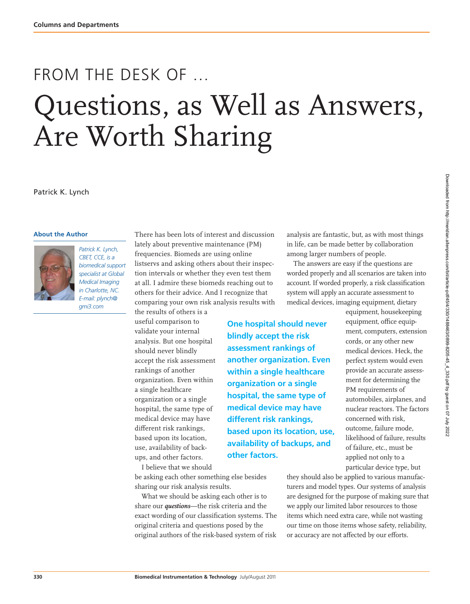# FROM THE DESK OF … Questions, as Well as Answers, Are Worth Sharing

Patrick K. Lynch

#### **About the Author**



*Patrick K. Lynch, CBET, CCE, is a biomedical support specialist at Global Medical Imaging in Charlotte, NC. E-mail: plynch@ gmi3.com*

There has been lots of interest and discussion lately about preventive maintenance (PM) frequencies. Biomeds are using online listservs and asking others about their inspection intervals or whether they even test them at all. I admire these biomeds reaching out to others for their advice. And I recognize that comparing your own risk analysis results with

> **One hospital should never blindly accept the risk assessment rankings of another organization. Even within a single healthcare organization or a single hospital, the same type of medical device may have different risk rankings,**

**based upon its location, use, availability of backups, and** 

**other factors.**

the results of others is a useful comparison to validate your internal analysis. But one hospital should never blindly accept the risk assessment rankings of another organization. Even within a single healthcare organization or a single hospital, the same type of medical device may have different risk rankings, based upon its location, use, availability of backups, and other factors.

I believe that we should be asking each other something else besides sharing our risk analysis results.

What we should be asking each other is to share our *questions*—the risk criteria and the exact wording of our classification systems. The original criteria and questions posed by the original authors of the risk-based system of risk

analysis are fantastic, but, as with most things in life, can be made better by collaboration among larger numbers of people.

The answers are easy if the questions are worded properly and all scenarios are taken into account. If worded properly, a risk classification system will apply an accurate assessment to medical devices, imaging equipment, dietary

> equipment, housekeeping equipment, office equipment, computers, extension cords, or any other new medical devices. Heck, the perfect system would even provide an accurate assessment for determining the PM requirements of automobiles, airplanes, and nuclear reactors. The factors concerned with risk, outcome, failure mode, likelihood of failure, results of failure, etc., must be applied not only to a particular device type, but

they should also be applied to various manufacturers and model types. Our systems of analysis are designed for the purpose of making sure that we apply our limited labor resources to those items which need extra care, while not wasting our time on those items whose safety, reliability, or accuracy are not affected by our efforts.